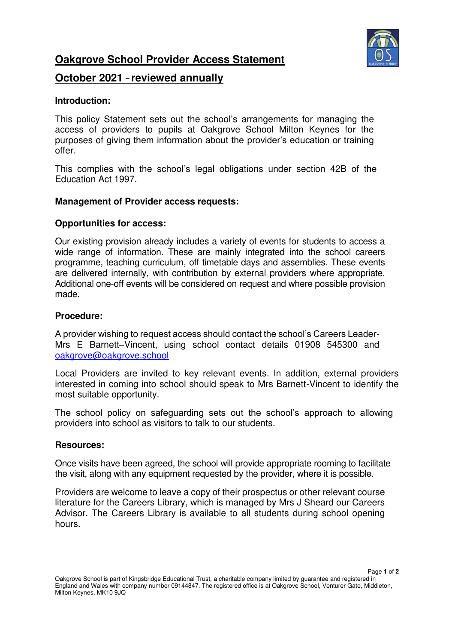

**Oakgrove School Provider Access Statement** 

# **October 2021** – **reviewed annually**

# **Introduction:**

This policy Statement sets out the school's arrangements for managing the access of providers to pupils at Oakgrove School Milton Keynes for the purposes of giving them information about the provider's education or training offer.

This complies with the school's legal obligations under section 42B of the Education Act 1997.

## **Management of Provider access requests:**

### **Opportunities for access:**

Our existing provision already includes a variety of events for students to access a wide range of information. These are mainly integrated into the school careers programme, teaching curriculum, off timetable days and assemblies. These events are delivered internally, with contribution by external providers where appropriate. Additional one-off events will be considered on request and where possible provision made.

### **Procedure:**

A provider wishing to request access should contact the school's Careers Leader-Mrs E Barnett–Vincent, using school contact details 01908 545300 and [oakgrove@oakgrove.school](mailto:oakgrove@oakgrove.school) 

Local Providers are invited to key relevant events. In addition, external providers interested in coming into school should speak to Mrs Barnett-Vincent to identify the most suitable opportunity.

The school policy on safeguarding sets out the school's approach to allowing providers into school as visitors to talk to our students.

#### **Resources:**

Once visits have been agreed, the school will provide appropriate rooming to facilitate the visit, along with any equipment requested by the provider, where it is possible.

Providers are welcome to leave a copy of their prospectus or other relevant course literature for the Careers Library, which is managed by Mrs J Sheard our Careers Advisor. The Careers Library is available to all students during school opening hours.